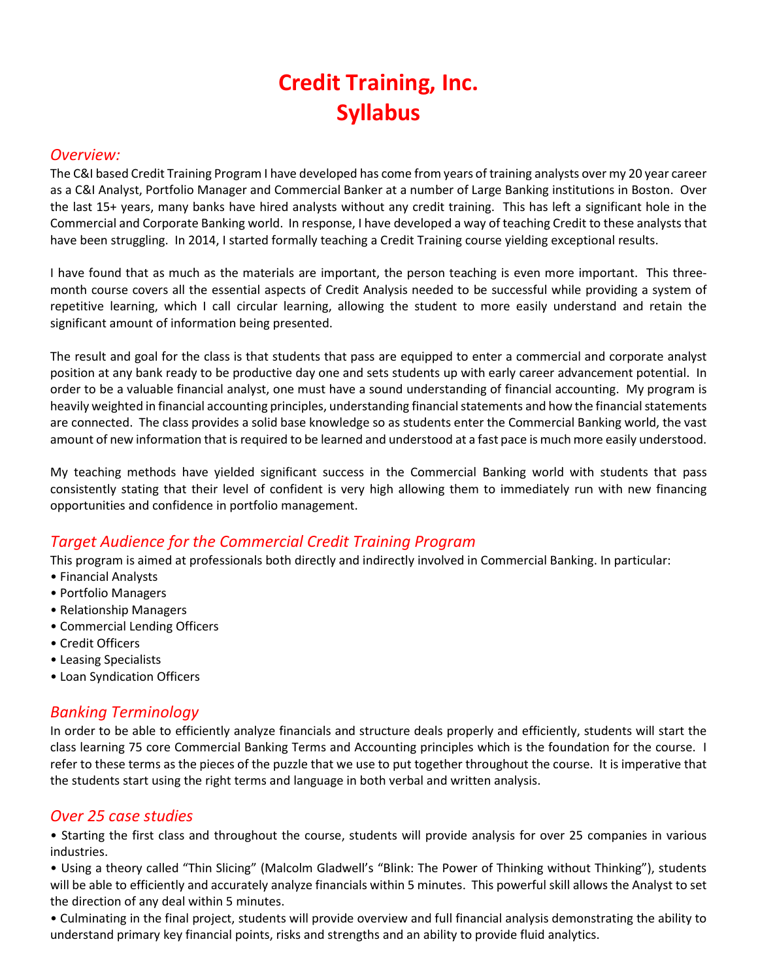# Credit Training, Inc. Syllabus

#### Overview:

The C&I based Credit Training Program I have developed has come from years of training analysts over my 20 year career as a C&I Analyst, Portfolio Manager and Commercial Banker at a number of Large Banking institutions in Boston. Over the last 15+ years, many banks have hired analysts without any credit training. This has left a significant hole in the Commercial and Corporate Banking world. In response, I have developed a way of teaching Credit to these analysts that have been struggling. In 2014, I started formally teaching a Credit Training course yielding exceptional results.

I have found that as much as the materials are important, the person teaching is even more important. This threemonth course covers all the essential aspects of Credit Analysis needed to be successful while providing a system of repetitive learning, which I call circular learning, allowing the student to more easily understand and retain the significant amount of information being presented.

The result and goal for the class is that students that pass are equipped to enter a commercial and corporate analyst position at any bank ready to be productive day one and sets students up with early career advancement potential. In order to be a valuable financial analyst, one must have a sound understanding of financial accounting. My program is heavily weighted in financial accounting principles, understanding financial statements and how the financial statements are connected. The class provides a solid base knowledge so as students enter the Commercial Banking world, the vast amount of new information that is required to be learned and understood at a fast pace is much more easily understood.

My teaching methods have yielded significant success in the Commercial Banking world with students that pass consistently stating that their level of confident is very high allowing them to immediately run with new financing opportunities and confidence in portfolio management.

## Target Audience for the Commercial Credit Training Program

This program is aimed at professionals both directly and indirectly involved in Commercial Banking. In particular:

- Financial Analysts
- Portfolio Managers
- Relationship Managers
- Commercial Lending Officers
- Credit Officers
- Leasing Specialists
- Loan Syndication Officers

#### Banking Terminology

In order to be able to efficiently analyze financials and structure deals properly and efficiently, students will start the class learning 75 core Commercial Banking Terms and Accounting principles which is the foundation for the course. I refer to these terms as the pieces of the puzzle that we use to put together throughout the course. It is imperative that the students start using the right terms and language in both verbal and written analysis.

#### Over 25 case studies

• Starting the first class and throughout the course, students will provide analysis for over 25 companies in various industries.

• Using a theory called "Thin Slicing" (Malcolm Gladwell's "Blink: The Power of Thinking without Thinking"), students will be able to efficiently and accurately analyze financials within 5 minutes. This powerful skill allows the Analyst to set the direction of any deal within 5 minutes.

• Culminating in the final project, students will provide overview and full financial analysis demonstrating the ability to understand primary key financial points, risks and strengths and an ability to provide fluid analytics.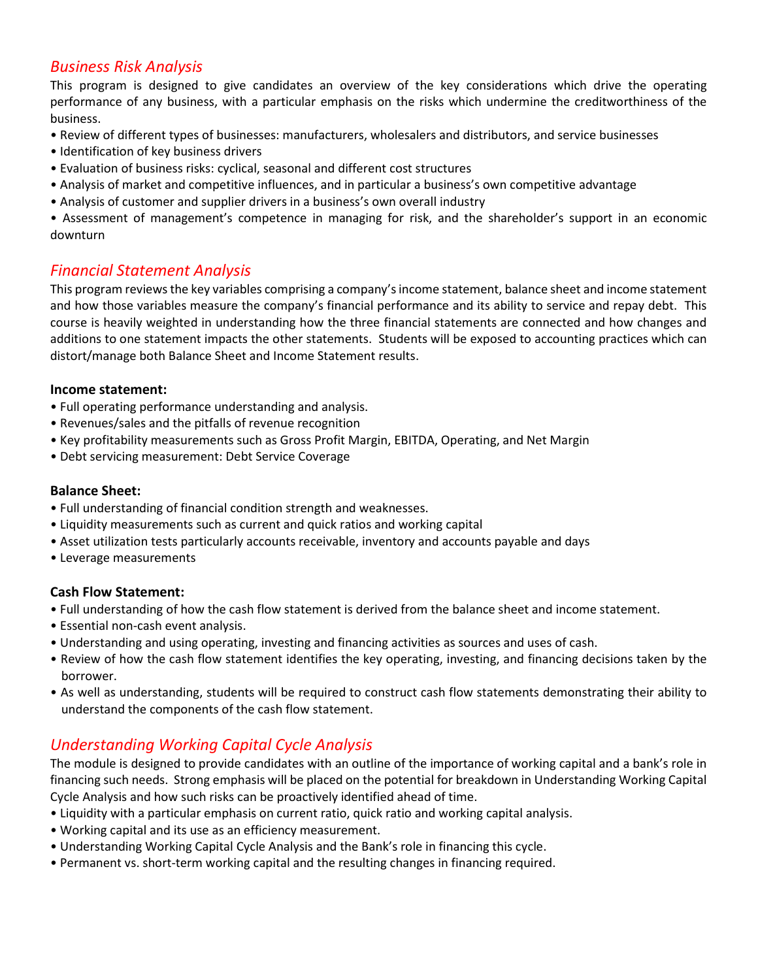### Business Risk Analysis

This program is designed to give candidates an overview of the key considerations which drive the operating performance of any business, with a particular emphasis on the risks which undermine the creditworthiness of the business.

- Review of different types of businesses: manufacturers, wholesalers and distributors, and service businesses
- Identification of key business drivers
- Evaluation of business risks: cyclical, seasonal and different cost structures
- Analysis of market and competitive influences, and in particular a business's own competitive advantage
- Analysis of customer and supplier drivers in a business's own overall industry

• Assessment of management's competence in managing for risk, and the shareholder's support in an economic downturn

#### Financial Statement Analysis

This program reviews the key variables comprising a company's income statement, balance sheet and income statement and how those variables measure the company's financial performance and its ability to service and repay debt. This course is heavily weighted in understanding how the three financial statements are connected and how changes and additions to one statement impacts the other statements. Students will be exposed to accounting practices which can distort/manage both Balance Sheet and Income Statement results.

#### Income statement:

- Full operating performance understanding and analysis.
- Revenues/sales and the pitfalls of revenue recognition
- Key profitability measurements such as Gross Profit Margin, EBITDA, Operating, and Net Margin
- Debt servicing measurement: Debt Service Coverage

#### Balance Sheet:

- Full understanding of financial condition strength and weaknesses.
- Liquidity measurements such as current and quick ratios and working capital
- Asset utilization tests particularly accounts receivable, inventory and accounts payable and days
- Leverage measurements

#### Cash Flow Statement:

- Full understanding of how the cash flow statement is derived from the balance sheet and income statement.
- Essential non-cash event analysis.
- Understanding and using operating, investing and financing activities as sources and uses of cash.
- Review of how the cash flow statement identifies the key operating, investing, and financing decisions taken by the borrower.
- As well as understanding, students will be required to construct cash flow statements demonstrating their ability to understand the components of the cash flow statement.

## Understanding Working Capital Cycle Analysis

The module is designed to provide candidates with an outline of the importance of working capital and a bank's role in financing such needs. Strong emphasis will be placed on the potential for breakdown in Understanding Working Capital Cycle Analysis and how such risks can be proactively identified ahead of time.

- Liquidity with a particular emphasis on current ratio, quick ratio and working capital analysis.
- Working capital and its use as an efficiency measurement.
- Understanding Working Capital Cycle Analysis and the Bank's role in financing this cycle.
- Permanent vs. short-term working capital and the resulting changes in financing required.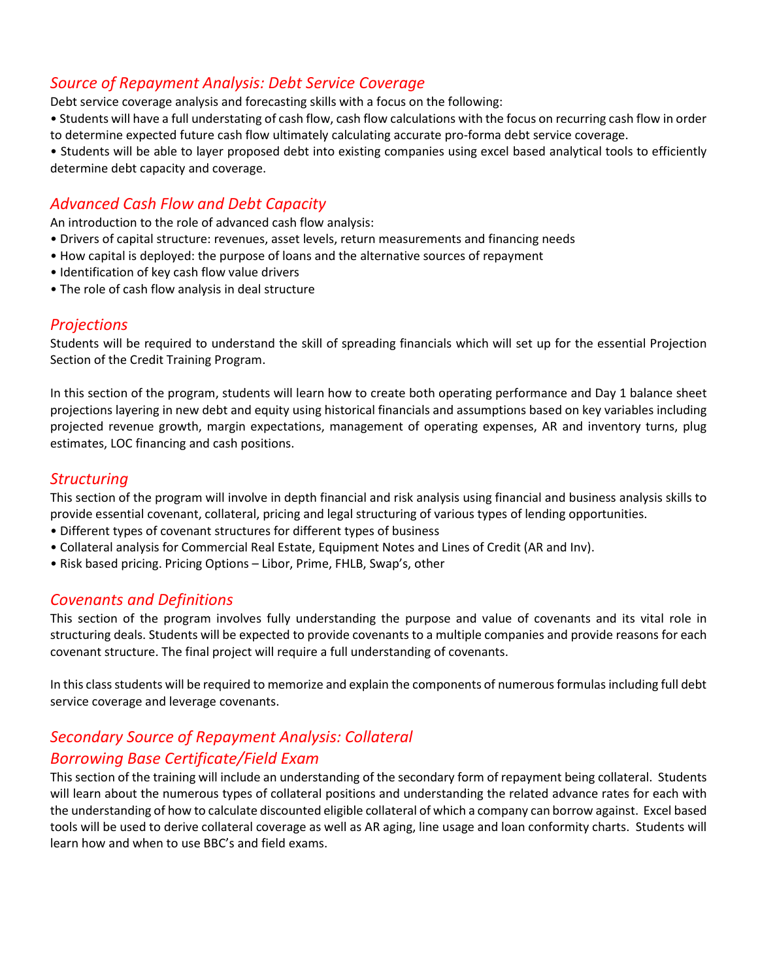#### Source of Repayment Analysis: Debt Service Coverage

Debt service coverage analysis and forecasting skills with a focus on the following:

• Students will have a full understating of cash flow, cash flow calculations with the focus on recurring cash flow in order to determine expected future cash flow ultimately calculating accurate pro-forma debt service coverage.

• Students will be able to layer proposed debt into existing companies using excel based analytical tools to efficiently determine debt capacity and coverage.

## Advanced Cash Flow and Debt Capacity

An introduction to the role of advanced cash flow analysis:

- Drivers of capital structure: revenues, asset levels, return measurements and financing needs
- How capital is deployed: the purpose of loans and the alternative sources of repayment
- Identification of key cash flow value drivers
- The role of cash flow analysis in deal structure

#### **Projections**

Students will be required to understand the skill of spreading financials which will set up for the essential Projection Section of the Credit Training Program.

In this section of the program, students will learn how to create both operating performance and Day 1 balance sheet projections layering in new debt and equity using historical financials and assumptions based on key variables including projected revenue growth, margin expectations, management of operating expenses, AR and inventory turns, plug estimates, LOC financing and cash positions.

#### Structuring

This section of the program will involve in depth financial and risk analysis using financial and business analysis skills to provide essential covenant, collateral, pricing and legal structuring of various types of lending opportunities.

- Different types of covenant structures for different types of business
- Collateral analysis for Commercial Real Estate, Equipment Notes and Lines of Credit (AR and Inv).
- Risk based pricing. Pricing Options Libor, Prime, FHLB, Swap's, other

#### Covenants and Definitions

This section of the program involves fully understanding the purpose and value of covenants and its vital role in structuring deals. Students will be expected to provide covenants to a multiple companies and provide reasons for each covenant structure. The final project will require a full understanding of covenants.

In this class students will be required to memorize and explain the components of numerous formulas including full debt service coverage and leverage covenants.

## Secondary Source of Repayment Analysis: Collateral

#### Borrowing Base Certificate/Field Exam

This section of the training will include an understanding of the secondary form of repayment being collateral. Students will learn about the numerous types of collateral positions and understanding the related advance rates for each with the understanding of how to calculate discounted eligible collateral of which a company can borrow against. Excel based tools will be used to derive collateral coverage as well as AR aging, line usage and loan conformity charts. Students will learn how and when to use BBC's and field exams.